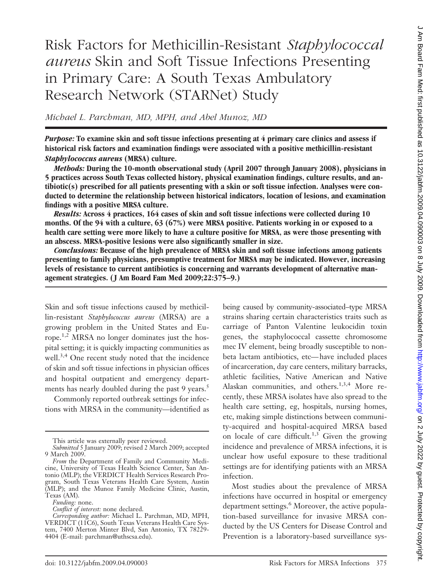# Risk Factors for Methicillin-Resistant *Staphylococcal aureus* Skin and Soft Tissue Infections Presenting in Primary Care: A South Texas Ambulatory Research Network (STARNet) Study

*Michael L. Parchman, MD, MPH, and Abel Munoz, MD*

*Purpose:* To examine skin and soft tissue infections presenting at 4 primary care clinics and assess if **historical risk factors and examination findings were associated with a positive methicillin-resistant** *Staphylococcus aureus* **(MRSA) culture.**

*Methods:* **During the 10-month observational study (April 2007 through January 2008), physicians in 5 practices across South Texas collected history, physical examination findings, culture results, and antibiotic(s) prescribed for all patients presenting with a skin or soft tissue infection. Analyses were conducted to determine the relationship between historical indicators, location of lesions, and examination findings with a positive MRSA culture.**

*Results:* **Across 4 practices, 164 cases of skin and soft tissue infections were collected during 10 months. Of the 94 with a culture, 63 (67%) were MRSA positive. Patients working in or exposed to a health care setting were more likely to have a culture positive for MRSA, as were those presenting with an abscess. MRSA-positive lesions were also significantly smaller in size.**

*Conclusions:* **Because of the high prevalence of MRSA skin and soft tissue infections among patients presenting to family physicians, presumptive treatment for MRSA may be indicated. However, increasing levels of resistance to current antibiotics is concerning and warrants development of alternative management strategies. ( J Am Board Fam Med 2009;22:375–9.)**

Skin and soft tissue infections caused by methicillin-resistant *Staphylococcus aureus* (MRSA) are a growing problem in the United States and Europe.1,2 MRSA no longer dominates just the hospital setting; it is quickly impacting communities as well.<sup>3,4</sup> One recent study noted that the incidence of skin and soft tissue infections in physician offices and hospital outpatient and emergency departments has nearly doubled during the past 9 years.<sup>5</sup>

Commonly reported outbreak settings for infections with MRSA in the community—identified as being caused by community-associated–type MRSA strains sharing certain characteristics traits such as carriage of Panton Valentine leukocidin toxin genes, the staphylococcal cassette chromosome mec IV element, being broadly susceptible to nonbeta lactam antibiotics, etc— have included places of incarceration, day care centers, military barracks, athletic facilities, Native American and Native Alaskan communities, and others.<sup>1,3,4</sup> More recently, these MRSA isolates have also spread to the health care setting, eg, hospitals, nursing homes, etc, making simple distinctions between community-acquired and hospital-acquired MRSA based on locale of care difficult.<sup>1,3</sup> Given the growing incidence and prevalence of MRSA infections, it is unclear how useful exposure to these traditional settings are for identifying patients with an MRSA infection.

Most studies about the prevalence of MRSA infections have occurred in hospital or emergency department settings.<sup>6</sup> Moreover, the active population-based surveillance for invasive MRSA conducted by the US Centers for Disease Control and Prevention is a laboratory-based surveillance sys-

This article was externally peer reviewed.

*Submitted* 5 January 2009; revised 2 March 2009; accepted 9 March 2009.

*From* the Department of Family and Community Medicine, University of Texas Health Science Center, San Antonio (MLP); the VERDICT Health Services Research Program, South Texas Veterans Health Care System, Austin (MLP); and the Munoz Family Medicine Clinic, Austin, Texas (AM).

*Funding:* none.

*Conflict of interest:* none declared.

*Corresponding author:* Michael L. Parchman, MD, MPH, VERDICT (11C6), South Texas Veterans Health Care System, 7400 Merton Minter Blvd, San Antonio, TX 78229- 4404 (E-mail: parchman@uthscsa.edu).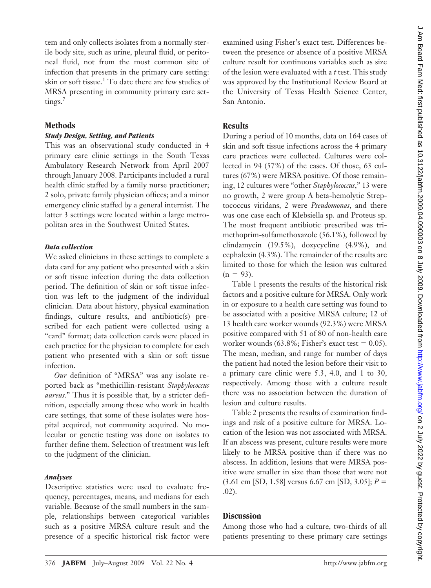tem and only collects isolates from a normally sterile body site, such as urine, pleural fluid, or peritoneal fluid, not from the most common site of infection that presents in the primary care setting: skin or soft tissue.<sup>1</sup> To date there are few studies of MRSA presenting in community primary care settings.<sup>7</sup>

## **Methods**

#### *Study Design, Setting, and Patients*

This was an observational study conducted in 4 primary care clinic settings in the South Texas Ambulatory Research Network from April 2007 through January 2008. Participants included a rural health clinic staffed by a family nurse practitioner; 2 solo, private family physician offices; and a minor emergency clinic staffed by a general internist. The latter 3 settings were located within a large metropolitan area in the Southwest United States.

#### *Data collection*

We asked clinicians in these settings to complete a data card for any patient who presented with a skin or soft tissue infection during the data collection period. The definition of skin or soft tissue infection was left to the judgment of the individual clinician. Data about history, physical examination findings, culture results, and antibiotic(s) prescribed for each patient were collected using a "card" format; data collection cards were placed in each practice for the physician to complete for each patient who presented with a skin or soft tissue infection.

*Our* definition of "MRSA" was any isolate reported back as "methicillin-resistant *Staphylococcus aureus*." Thus it is possible that, by a stricter definition, especially among those who work in health care settings, that some of these isolates were hospital acquired, not community acquired. No molecular or genetic testing was done on isolates to further define them. Selection of treatment was left to the judgment of the clinician.

## *Analyses*

Descriptive statistics were used to evaluate frequency, percentages, means, and medians for each variable. Because of the small numbers in the sample, relationships between categorical variables such as a positive MRSA culture result and the presence of a specific historical risk factor were examined using Fisher's exact test. Differences between the presence or absence of a positive MRSA culture result for continuous variables such as size of the lesion were evaluated with a *t* test. This study was approved by the Institutional Review Board at the University of Texas Health Science Center, San Antonio.

## **Results**

During a period of 10 months, data on 164 cases of skin and soft tissue infections across the 4 primary care practices were collected. Cultures were collected in 94 (57%) of the cases. Of those, 63 cultures (67%) were MRSA positive. Of those remaining, 12 cultures were "other *Staphylococcus*," 13 were no growth, 2 were group A beta-hemolytic Streptococcus viridans, 2 were *Pseudomonas*, and there was one case each of Klebsiella sp. and Proteus sp. The most frequent antibiotic prescribed was trimethoprim-sulfamethoxazole (56.1%), followed by clindamycin (19.5%), doxycycline (4.9%), and cephalexin (4.3%). The remainder of the results are limited to those for which the lesion was cultured  $(n = 93)$ .

Table 1 presents the results of the historical risk factors and a positive culture for MRSA. Only work in or exposure to a health care setting was found to be associated with a positive MRSA culture; 12 of 13 health care worker wounds (92.3%) were MRSA positive compared with 51 of 80 of non-health care worker wounds  $(63.8\%;$  Fisher's exact test = 0.05). The mean, median, and range for number of days the patient had noted the lesion before their visit to a primary care clinic were 5.3, 4.0, and 1 to 30, respectively. Among those with a culture result there was no association between the duration of lesion and culture results.

Table 2 presents the results of examination findings and risk of a positive culture for MRSA. Location of the lesion was not associated with MRSA. If an abscess was present, culture results were more likely to be MRSA positive than if there was no abscess. In addition, lesions that were MRSA positive were smaller in size than those that were not (3.61 cm [SD, 1.58] versus 6.67 cm [SD, 3.05]; *P* .02).

# **Discussion**

Among those who had a culture, two-thirds of all patients presenting to these primary care settings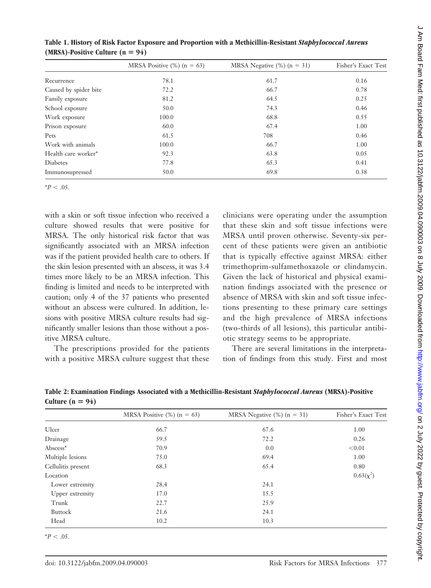|                       | MRSA Positive $(\%)$ (n = 63) | MRSA Negative $(\%)$ (n = 31) | Fisher's Exact Test |
|-----------------------|-------------------------------|-------------------------------|---------------------|
| Recurrence            | 78.1                          | 61.7                          | 0.16                |
| Caused by spider bite | 72.2                          | 66.7                          | 0.78                |
| Family exposure       | 81.2                          | 64.5                          | 0.25                |
| School exposure       | 50.0                          | 74.3                          | 0.46                |
| Work exposure         | 100.0                         | 68.8                          | 0.55                |
| Prison exposure       | 60.0                          | 67.4                          | 1.00                |
| Pets                  | 61.5                          | 708                           | 0.46                |
| Work with animals     | 100.0                         | 66.7                          | 1.00                |
| Health care worker*   | 92.3                          | 63.8                          | 0.05                |
| <b>Diabetes</b>       | 77.8                          | 65.3                          | 0.41                |
| Immunosupressed       | 50.0                          | 69.8                          | 0.38                |

**Table 1. History of Risk Factor Exposure and Proportion with a Methicillin-Resistant** *Staphylococcal Aureus*  $(MRSA)$ -Positive Culture  $(n = 94)$ 

 $*P < .05$ .

with a skin or soft tissue infection who received a culture showed results that were positive for MRSA. The only historical risk factor that was significantly associated with an MRSA infection was if the patient provided health care to others. If the skin lesion presented with an abscess, it was 3.4 times more likely to be an MRSA infection. This finding is limited and needs to be interpreted with caution; only 4 of the 37 patients who presented without an abscess were cultured. In addition, lesions with positive MRSA culture results had significantly smaller lesions than those without a positive MRSA culture.

The prescriptions provided for the patients with a positive MRSA culture suggest that these clinicians were operating under the assumption that these skin and soft tissue infections were MRSA until proven otherwise. Seventy-six percent of these patients were given an antibiotic that is typically effective against MRSA: either trimethoprim-sulfamethoxazole or clindamycin. Given the lack of historical and physical examination findings associated with the presence or absence of MRSA with skin and soft tissue infections presenting to these primary care settings and the high prevalence of MRSA infections (two-thirds of all lesions), this particular antibiotic strategy seems to be appropriate.

There are several limitations in the interpretation of findings from this study. First and most

|                    | MRSA Positive $(\%)$ (n = 63) | MRSA Negative $(\%)$ (n = 31) | Fisher's Exact Test |
|--------------------|-------------------------------|-------------------------------|---------------------|
| Ulcer              | 66.7                          | 67.6                          | 1.00                |
| Drainage           | 59.5                          | 72.2                          | 0.26                |
| Abscess*           | 70.9                          | 0.0                           | < 0.01              |
| Multiple lesions   | 75.0                          | 69.4                          | 1.00                |
| Cellulitis present | 68.3                          | 65.4                          | 0.80                |
| Location           |                               |                               | $0.63(\chi^2)$      |
| Lower extremity    | 28.4                          | 24.1                          |                     |
| Upper extremity    | 17.0                          | 15.5                          |                     |
| Trunk              | 22.7                          | 25.9                          |                     |
| <b>Buttock</b>     | 21.6                          | 24.1                          |                     |
| Head               | 10.2                          | 10.3                          |                     |

**Table 2: Examination Findings Associated with a Methicillin-Resistant** *Staphylococcal Aureus* **(MRSA)-Positive Culture (n = 94)**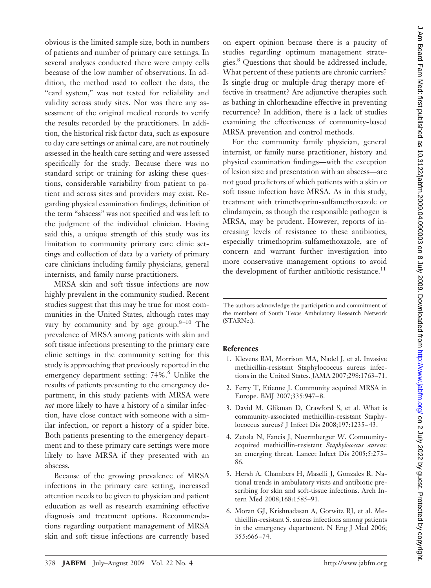obvious is the limited sample size, both in numbers of patients and number of primary care settings. In several analyses conducted there were empty cells because of the low number of observations. In addition, the method used to collect the data, the "card system," was not tested for reliability and validity across study sites. Nor was there any assessment of the original medical records to verify the results recorded by the practitioners. In addition, the historical risk factor data, such as exposure to day care settings or animal care, are not routinely assessed in the health care setting and were assessed specifically for the study. Because there was no standard script or training for asking these questions, considerable variability from patient to patient and across sites and providers may exist. Regarding physical examination findings, definition of the term "abscess" was not specified and was left to the judgment of the individual clinician. Having said this, a unique strength of this study was its limitation to community primary care clinic settings and collection of data by a variety of primary care clinicians including family physicians, general internists, and family nurse practitioners.

MRSA skin and soft tissue infections are now highly prevalent in the community studied. Recent studies suggest that this may be true for most communities in the United States, although rates may vary by community and by age group. $8-10$  The prevalence of MRSA among patients with skin and soft tissue infections presenting to the primary care clinic settings in the community setting for this study is approaching that previously reported in the emergency department setting: 74%.<sup>6</sup> Unlike the results of patients presenting to the emergency department, in this study patients with MRSA were *not* more likely to have a history of a similar infection, have close contact with someone with a similar infection, or report a history of a spider bite. Both patients presenting to the emergency department and to these primary care settings were more likely to have MRSA if they presented with an abscess.

Because of the growing prevalence of MRSA infections in the primary care setting, increased attention needs to be given to physician and patient education as well as research examining effective diagnosis and treatment options. Recommendations regarding outpatient management of MRSA skin and soft tissue infections are currently based on expert opinion because there is a paucity of studies regarding optimum management strategies.8 Questions that should be addressed include, What percent of these patients are chronic carriers? Is single-drug or multiple-drug therapy more effective in treatment? Are adjunctive therapies such as bathing in chlorhexadine effective in preventing recurrence? In addition, there is a lack of studies examining the effectiveness of community-based MRSA prevention and control methods.

For the community family physician, general internist, or family nurse practitioner, history and physical examination findings—with the exception of lesion size and presentation with an abscess—are not good predictors of which patients with a skin or soft tissue infection have MRSA. As in this study, treatment with trimethoprim-sulfamethoxazole or clindamycin, as though the responsible pathogen is MRSA, may be prudent. However, reports of increasing levels of resistance to these antibiotics, especially trimethoprim-sulfamethoxazole, are of concern and warrant further investigation into more conservative management options to avoid the development of further antibiotic resistance.<sup>11</sup>

The authors acknowledge the participation and commitment of the members of South Texas Ambulatory Research Network (STARNet).

### **References**

- 1. Klevens RM, Morrison MA, Nadel J, et al. Invasive methicillin-resistant Staphylococcus aureus infections in the United States. JAMA 2007;298:1763–71.
- 2. Ferry T, Etienne J. Community acquired MRSA in Europe. BMJ 2007;335:947– 8.
- 3. David M, Glikman D, Crawford S, et al. What is community-associated methicillin-resistant Staphylococcus aureus*?* J Infect Dis 2008;197:1235– 43.
- 4. Zetola N, Fancis J, Nuermberger W. Communityacquired methicillin-resistant *Staphylococcus aureus*: an emerging threat. Lancet Infect Dis 2005;5:275– 86.
- 5. Hersh A, Chambers H, Maselli J, Gonzales R. National trends in ambulatory visits and antibiotic prescribing for skin and soft-tissue infections. Arch Intern Med 2008;168:1585–91.
- 6. Moran GJ, Krishnadasan A, Gorwitz RJ, et al. Methicillin-resistant S. aureus infections among patients in the emergency department. N Eng J Med 2006; 355:666 –74.